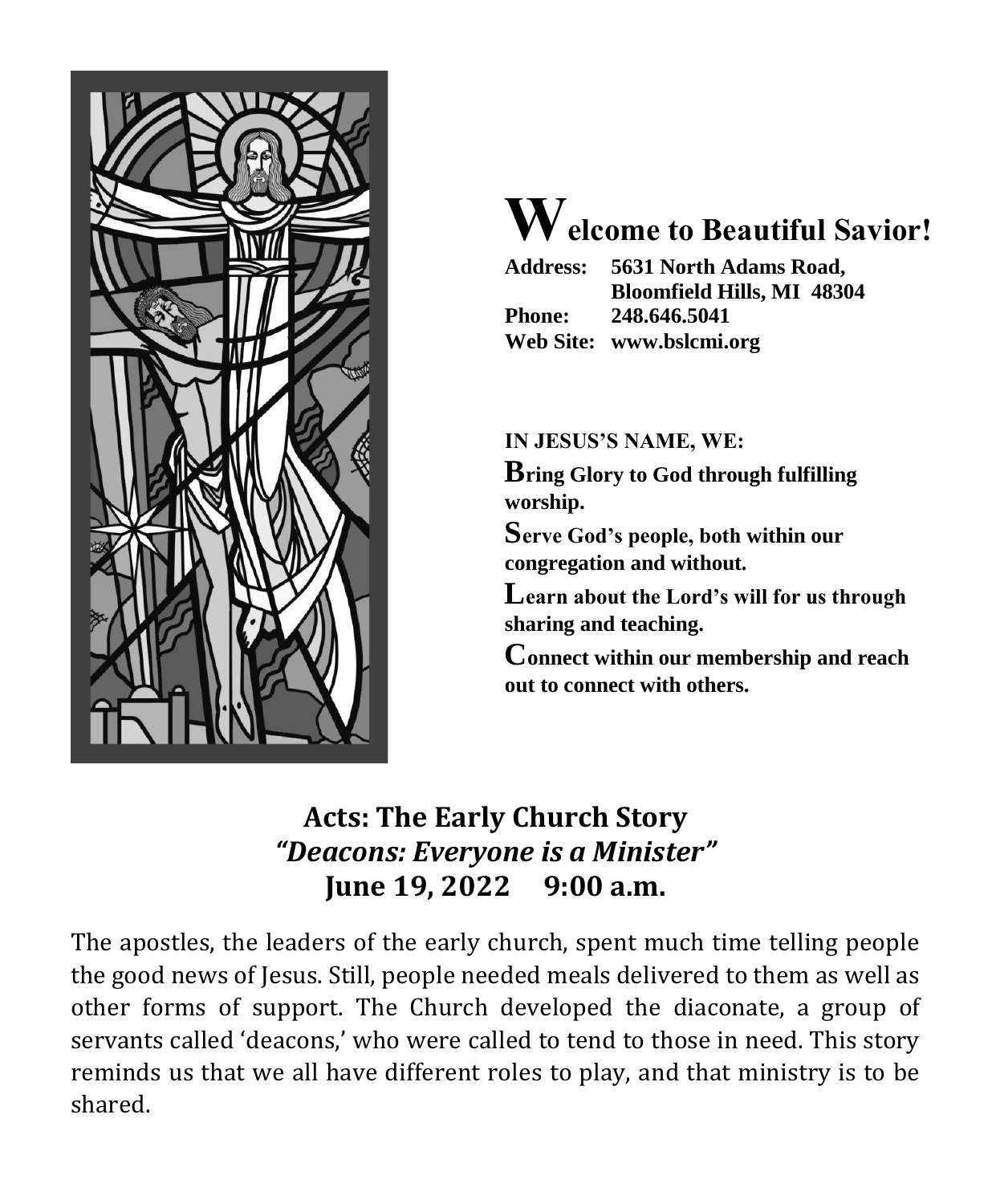

# **Welcome to Beautiful Savior!**

|               | Address: 5631 North Adams Road,   |  |  |
|---------------|-----------------------------------|--|--|
|               | <b>Bloomfield Hills, MI 48304</b> |  |  |
| <b>Phone:</b> | 248.646.5041                      |  |  |
|               | Web Site: www.bslcmi.org          |  |  |

**IN JESUS'S NAME, WE:**

**Bring Glory to God through fulfilling worship.**

**Serve God's people, both within our congregation and without.**

**Learn about the Lord's will for us through sharing and teaching.**

**Connect within our membership and reach out to connect with others.**

# **Acts: The Early Church Story** *"Deacons: Everyone is a Minister"* **June 19, 2022 9:00 a.m.**

The apostles, the leaders of the early church, spent much time telling people the good news of Jesus. Still, people needed meals delivered to them as well as other forms of support. The Church developed the diaconate, a group of servants called 'deacons,' who were called to tend to those in need. This story reminds us that we all have different roles to play, and that ministry is to be shared.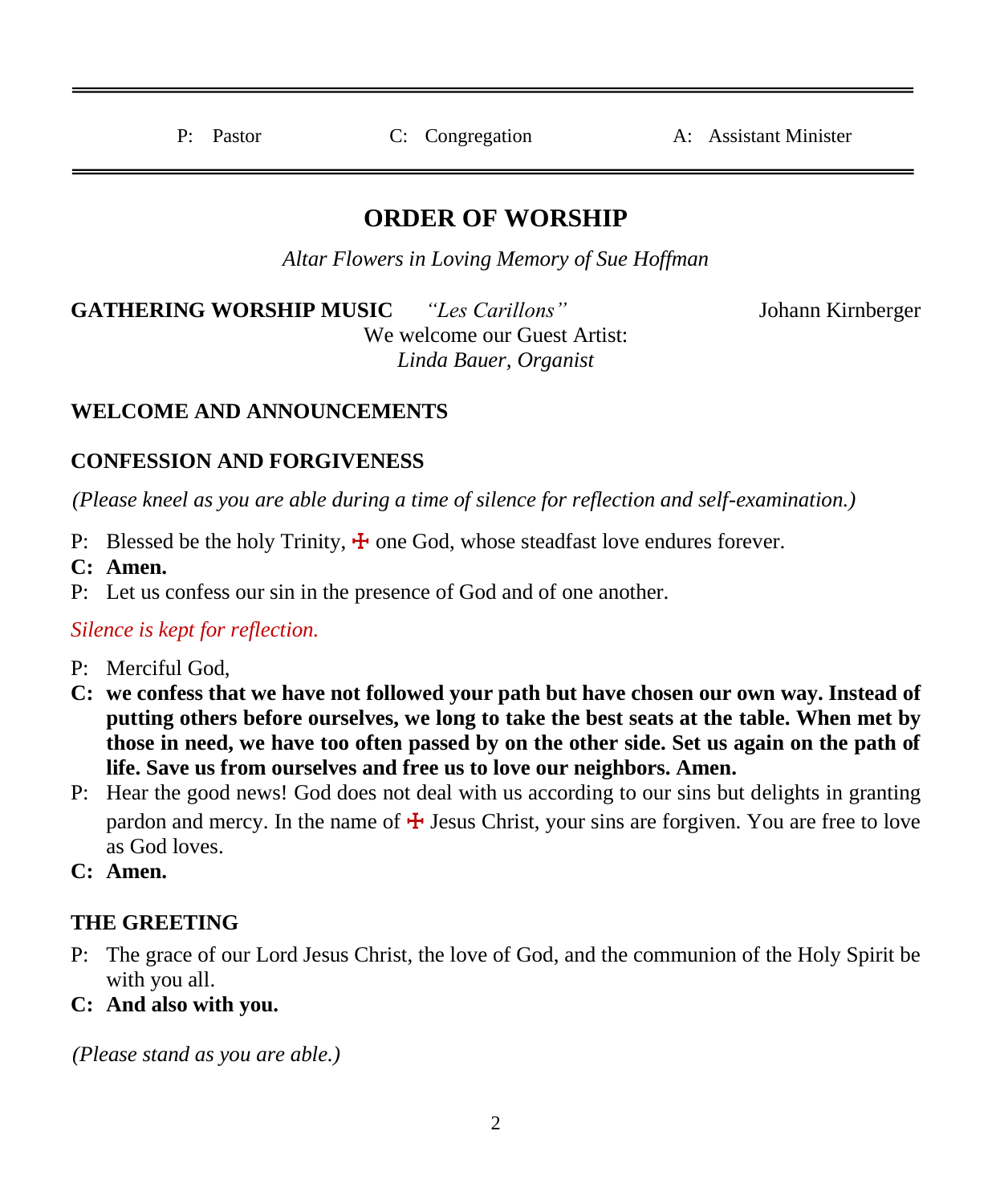P: Pastor C: Congregation A: Assistant Minister

# **ORDER OF WORSHIP**

*Altar Flowers in Loving Memory of Sue Hoffman*

**GATHERING WORSHIP MUSIC** *"Les Carillons"* Johann Kirnberger We welcome our Guest Artist: *Linda Bauer, Organist*

#### **WELCOME AND ANNOUNCEMENTS**

#### **CONFESSION AND FORGIVENESS**

*(Please kneel as you are able during a time of silence for reflection and self-examination.)*

- P: Blessed be the holy Trinity,  $\frac{1}{\tau}$  one God, whose steadfast love endures forever.
- **C: Amen.**
- P: Let us confess our sin in the presence of God and of one another.

#### *Silence is kept for reflection.*

- P: Merciful God,
- **C: we confess that we have not followed your path but have chosen our own way. Instead of putting others before ourselves, we long to take the best seats at the table. When met by those in need, we have too often passed by on the other side. Set us again on the path of life. Save us from ourselves and free us to love our neighbors. Amen.**
- P: Hear the good news! God does not deal with us according to our sins but delights in granting pardon and mercy. In the name of  $\frac{1}{4}$  Jesus Christ, your sins are forgiven. You are free to love as God loves.
- **C: Amen.**

#### **THE GREETING**

- P: The grace of our Lord Jesus Christ, the love of God, and the communion of the Holy Spirit be with you all.
- **C: And also with you.**

*(Please stand as you are able.)*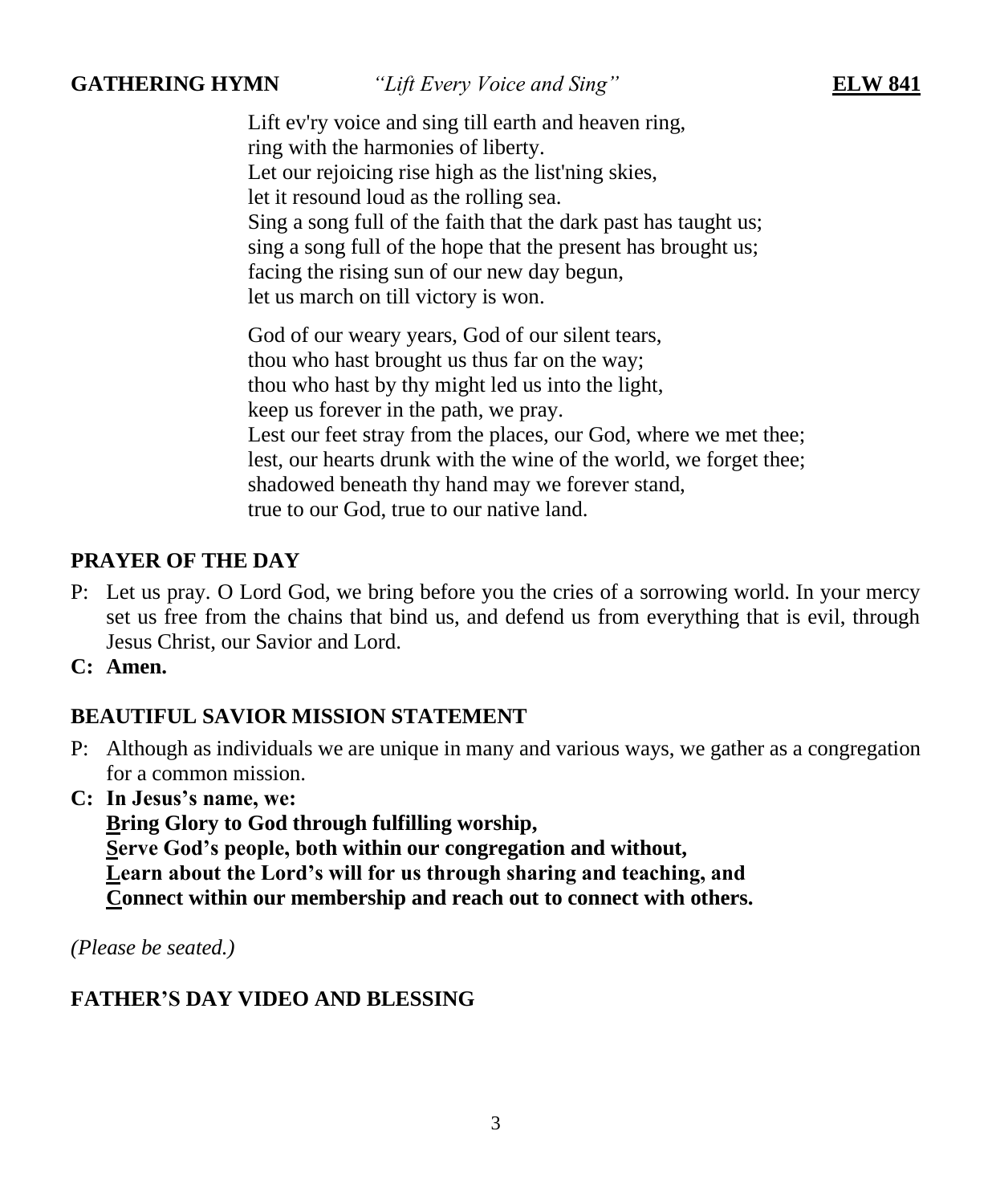**GATHERING HYMN** *"Lift Every Voice and Sing"* **ELW 841**

Lift ev'ry voice and sing till earth and heaven ring, ring with the harmonies of liberty. Let our rejoicing rise high as the list'ning skies, let it resound loud as the rolling sea. Sing a song full of the faith that the dark past has taught us; sing a song full of the hope that the present has brought us; facing the rising sun of our new day begun, let us march on till victory is won.

God of our weary years, God of our silent tears, thou who hast brought us thus far on the way; thou who hast by thy might led us into the light, keep us forever in the path, we pray. Lest our feet stray from the places, our God, where we met thee; lest, our hearts drunk with the wine of the world, we forget thee; shadowed beneath thy hand may we forever stand, true to our God, true to our native land.

#### **PRAYER OF THE DAY**

- P: Let us pray. O Lord God, we bring before you the cries of a sorrowing world. In your mercy set us free from the chains that bind us, and defend us from everything that is evil, through Jesus Christ, our Savior and Lord.
- **C: Amen.**

#### **BEAUTIFUL SAVIOR MISSION STATEMENT**

- P: Although as individuals we are unique in many and various ways, we gather as a congregation for a common mission.
- **C: In Jesus's name, we:**

**Bring Glory to God through fulfilling worship, Serve God's people, both within our congregation and without, Learn about the Lord's will for us through sharing and teaching, and Connect within our membership and reach out to connect with others.**

*(Please be seated.)*

#### **FATHER'S DAY VIDEO AND BLESSING**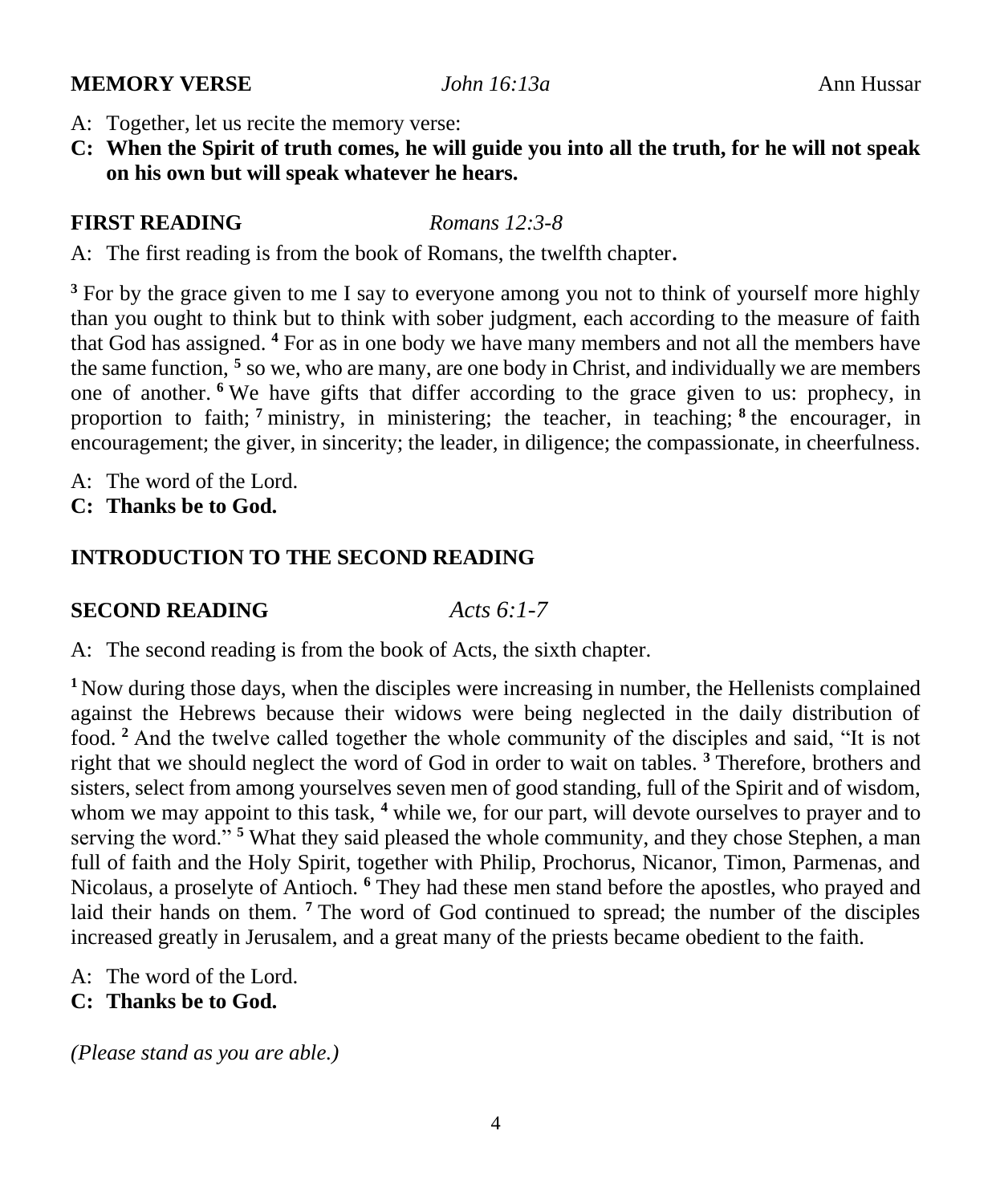#### **MEMORY VERSE** *John 16:13a* Ann Hussar

- A: Together, let us recite the memory verse:
- **C: When the Spirit of truth comes, he will guide you into all the truth, for he will not speak on his own but will speak whatever he hears.**

# **FIRST READING** *Romans 12:3-8*

A: The first reading is from the book of Romans, the twelfth chapter.

<sup>3</sup> For by the grace given to me I say to everyone among you not to think of yourself more highly than you ought to think but to think with sober judgment, each according to the measure of faith that God has assigned. **<sup>4</sup>** For as in one body we have many members and not all the members have the same function, **<sup>5</sup>** so we, who are many, are one body in Christ, and individually we are members one of another. **<sup>6</sup>** We have gifts that differ according to the grace given to us: prophecy, in proportion to faith; **<sup>7</sup>** ministry, in ministering; the teacher, in teaching; **<sup>8</sup>** the encourager, in encouragement; the giver, in sincerity; the leader, in diligence; the compassionate, in cheerfulness.

- A: The word of the Lord.
- **C: Thanks be to God.**

# **INTRODUCTION TO THE SECOND READING**

#### **SECOND READING** *Acts 6:1-7*

A: The second reading is from the book of Acts, the sixth chapter.

<sup>1</sup>Now during those days, when the disciples were increasing in number, the Hellenists complained against the Hebrews because their widows were being neglected in the daily distribution of food. **<sup>2</sup>** And the twelve called together the whole community of the disciples and said, "It is not right that we should neglect the word of God in order to wait on tables. **<sup>3</sup>** Therefore, brothers and sisters, select from among yourselves seven men of good standing, full of the Spirit and of wisdom, whom we may appoint to this task, <sup>4</sup> while we, for our part, will devote ourselves to prayer and to serving the word."<sup>5</sup> What they said pleased the whole community, and they chose Stephen, a man full of faith and the Holy Spirit, together with Philip, Prochorus, Nicanor, Timon, Parmenas, and Nicolaus, a proselyte of Antioch. **<sup>6</sup>** They had these men stand before the apostles, who prayed and laid their hands on them. <sup>7</sup> The word of God continued to spread; the number of the disciples increased greatly in Jerusalem, and a great many of the priests became obedient to the faith.

- A: The word of the Lord.
- **C: Thanks be to God.**

*(Please stand as you are able.)*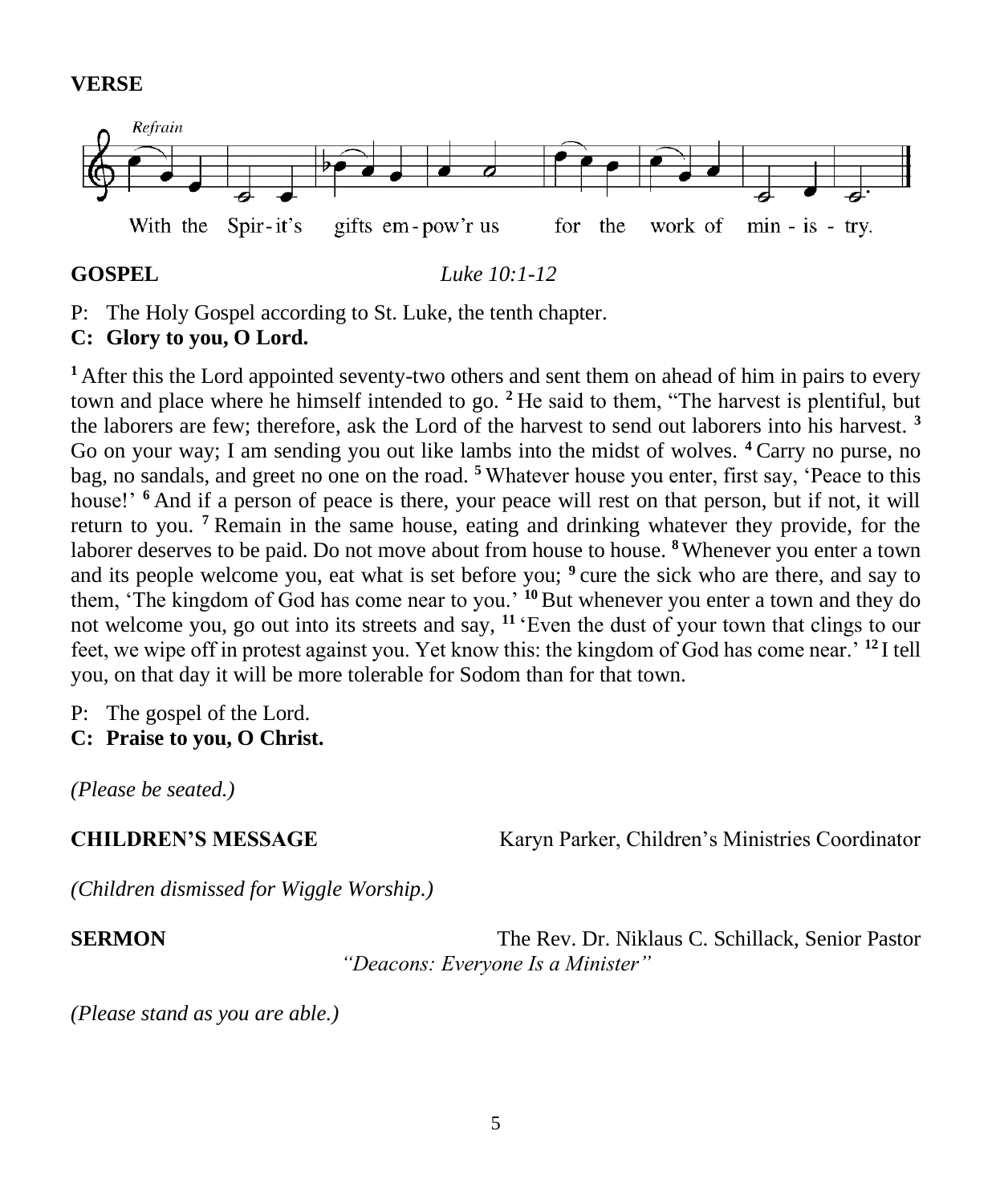#### **VERSE**



**GOSPEL** *Luke 10:1-12*

P: The Holy Gospel according to St. Luke, the tenth chapter.

# **C: Glory to you, O Lord.**

**<sup>1</sup>**After this the Lord appointed seventy-two others and sent them on ahead of him in pairs to every town and place where he himself intended to go. **<sup>2</sup>**He said to them, "The harvest is plentiful, but the laborers are few; therefore, ask the Lord of the harvest to send out laborers into his harvest. **<sup>3</sup>** Go on your way; I am sending you out like lambs into the midst of wolves. **<sup>4</sup>**Carry no purse, no bag, no sandals, and greet no one on the road. **<sup>5</sup>**Whatever house you enter, first say, 'Peace to this house!' <sup>6</sup> And if a person of peace is there, your peace will rest on that person, but if not, it will return to you. **<sup>7</sup>**Remain in the same house, eating and drinking whatever they provide, for the laborer deserves to be paid. Do not move about from house to house. **<sup>8</sup>**Whenever you enter a town and its people welcome you, eat what is set before you; <sup>9</sup> cure the sick who are there, and say to them, 'The kingdom of God has come near to you.' **<sup>10</sup>**But whenever you enter a town and they do not welcome you, go out into its streets and say, **<sup>11</sup>**'Even the dust of your town that clings to our feet, we wipe off in protest against you. Yet know this: the kingdom of God has come near.' **<sup>12</sup>**I tell you, on that day it will be more tolerable for Sodom than for that town.

P: The gospel of the Lord.

**C: Praise to you, O Christ.**

*(Please be seated.)*

**CHILDREN'S MESSAGE** Karyn Parker, Children's Ministries Coordinator

*(Children dismissed for Wiggle Worship.)*

**SERMON** The Rev. Dr. Niklaus C. Schillack, Senior Pastor *"Deacons: Everyone Is a Minister"*

*(Please stand as you are able.)*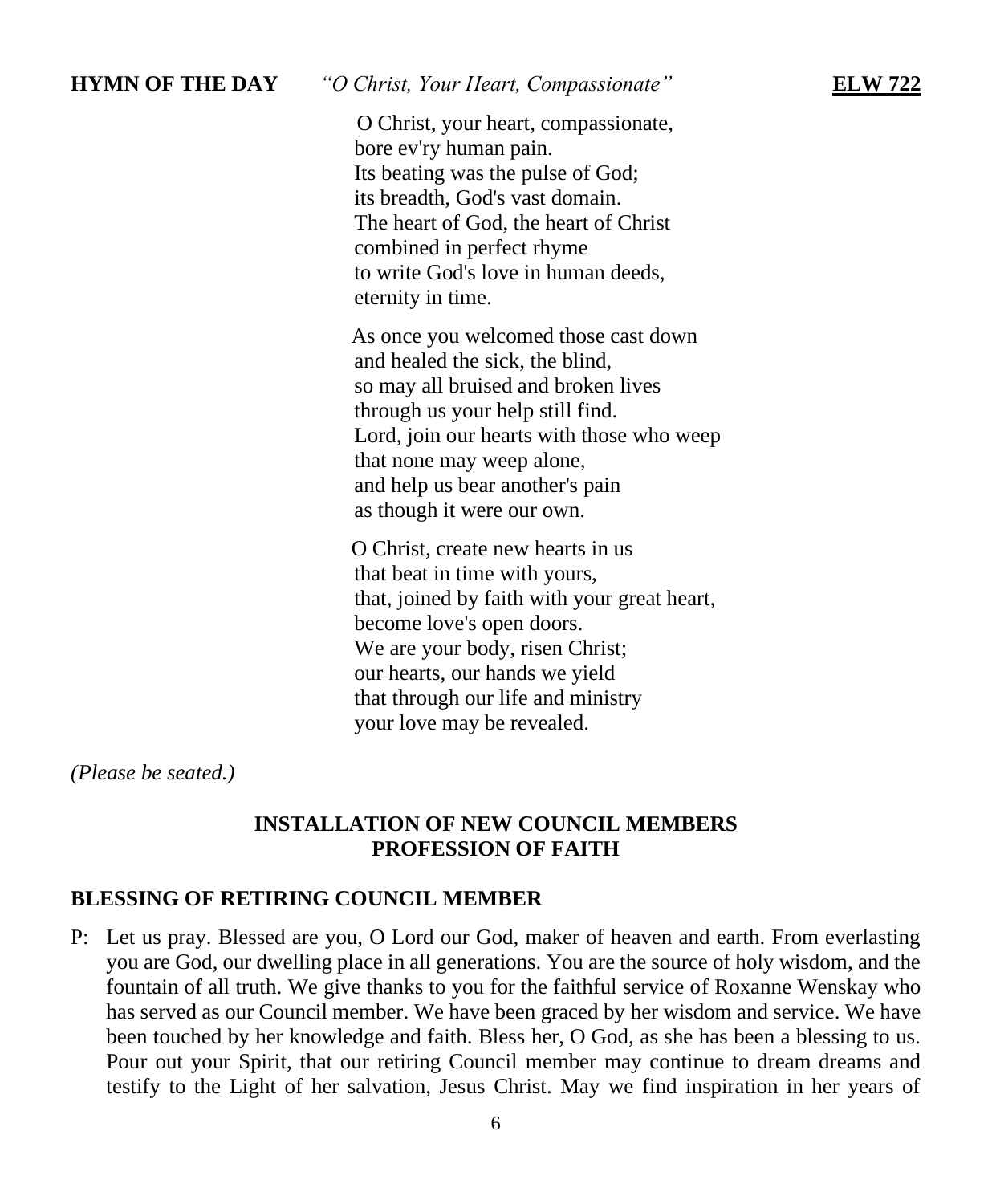| <b>HYMN OF THE DAY</b> | "O Christ, Your Heart, Compassionate"<br><b>ELW 722</b>                                                                                                                                                                                                                                       |  |
|------------------------|-----------------------------------------------------------------------------------------------------------------------------------------------------------------------------------------------------------------------------------------------------------------------------------------------|--|
|                        | O Christ, your heart, compassionate,<br>bore ev'ry human pain.<br>Its beating was the pulse of God;<br>its breadth, God's vast domain.<br>The heart of God, the heart of Christ<br>combined in perfect rhyme<br>to write God's love in human deeds,<br>eternity in time.                      |  |
|                        | As once you welcomed those cast down<br>and healed the sick, the blind,<br>so may all bruised and broken lives<br>through us your help still find.<br>Lord, join our hearts with those who weep<br>that none may weep alone,<br>and help us bear another's pain<br>as though it were our own. |  |
|                        | O Christ, create new hearts in us<br>that beat in time with yours,<br>that, joined by faith with your great heart,<br>become love's open doors.                                                                                                                                               |  |

become love's open doors. We are your body, risen Christ; our hearts, our hands we yield that through our life and ministry your love may be revealed.

*(Please be seated.)*

### **INSTALLATION OF NEW COUNCIL MEMBERS PROFESSION OF FAITH**

# **BLESSING OF RETIRING COUNCIL MEMBER**

P: Let us pray. Blessed are you, O Lord our God, maker of heaven and earth. From everlasting you are God, our dwelling place in all generations. You are the source of holy wisdom, and the fountain of all truth. We give thanks to you for the faithful service of Roxanne Wenskay who has served as our Council member. We have been graced by her wisdom and service. We have been touched by her knowledge and faith. Bless her, O God, as she has been a blessing to us. Pour out your Spirit, that our retiring Council member may continue to dream dreams and testify to the Light of her salvation, Jesus Christ. May we find inspiration in her years of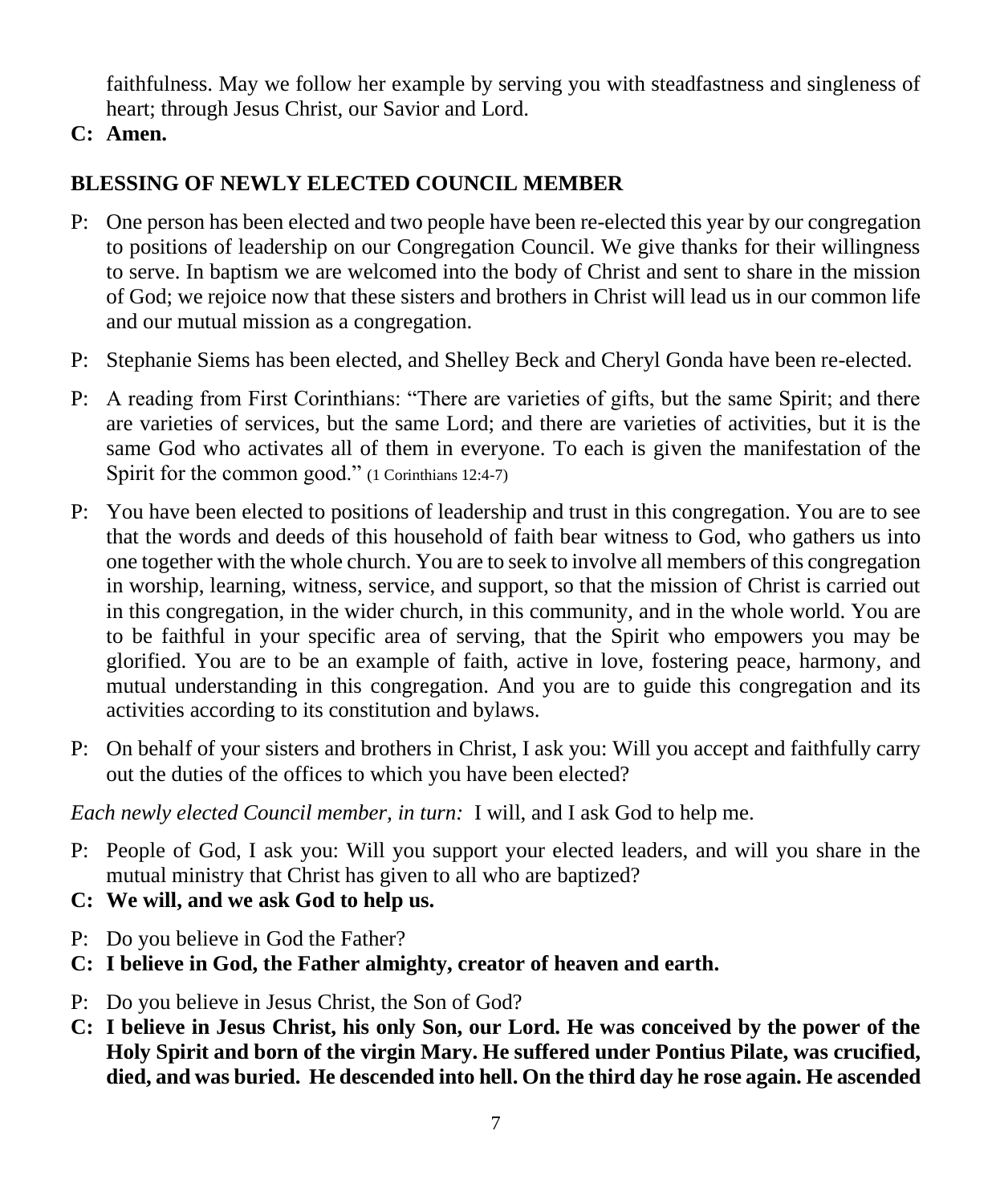faithfulness. May we follow her example by serving you with steadfastness and singleness of heart; through Jesus Christ, our Savior and Lord.

# **C: Amen.**

# **BLESSING OF NEWLY ELECTED COUNCIL MEMBER**

- P: One person has been elected and two people have been re-elected this year by our congregation to positions of leadership on our Congregation Council. We give thanks for their willingness to serve. In baptism we are welcomed into the body of Christ and sent to share in the mission of God; we rejoice now that these sisters and brothers in Christ will lead us in our common life and our mutual mission as a congregation.
- P: Stephanie Siems has been elected, and Shelley Beck and Cheryl Gonda have been re-elected.
- P: A reading from First Corinthians: "There are varieties of gifts, but the same Spirit; and there are varieties of services, but the same Lord; and there are varieties of activities, but it is the same God who activates all of them in everyone. To each is given the manifestation of the Spirit for the common good." (1 Corinthians 12:4-7)
- P: You have been elected to positions of leadership and trust in this congregation. You are to see that the words and deeds of this household of faith bear witness to God, who gathers us into one together with the whole church. You are to seek to involve all members of this congregation in worship, learning, witness, service, and support, so that the mission of Christ is carried out in this congregation, in the wider church, in this community, and in the whole world. You are to be faithful in your specific area of serving, that the Spirit who empowers you may be glorified. You are to be an example of faith, active in love, fostering peace, harmony, and mutual understanding in this congregation. And you are to guide this congregation and its activities according to its constitution and bylaws.
- P: On behalf of your sisters and brothers in Christ, I ask you: Will you accept and faithfully carry out the duties of the offices to which you have been elected?

*Each newly elected Council member, in turn:* I will, and I ask God to help me.

- P: People of God, I ask you: Will you support your elected leaders, and will you share in the mutual ministry that Christ has given to all who are baptized?
- **C: We will, and we ask God to help us.**
- P: Do you believe in God the Father?
- **C: I believe in God, the Father almighty, creator of heaven and earth.**
- P: Do you believe in Jesus Christ, the Son of God?
- **C: I believe in Jesus Christ, his only Son, our Lord. He was conceived by the power of the Holy Spirit and born of the virgin Mary. He suffered under Pontius Pilate, was crucified, died, and was buried. He descended into hell. On the third day he rose again. He ascended**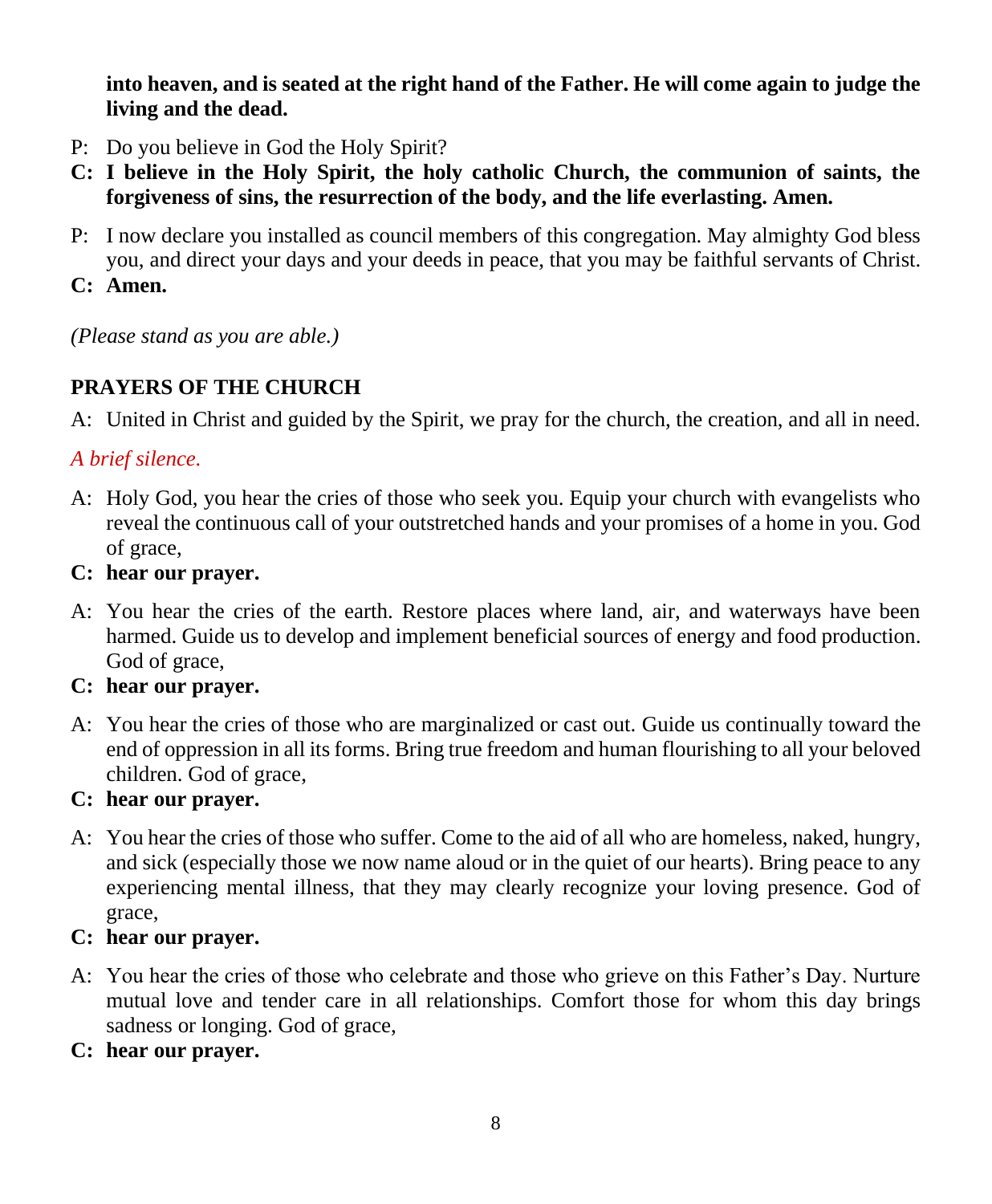**into heaven, and is seated at the right hand of the Father. He will come again to judge the living and the dead.**

- P: Do you believe in God the Holy Spirit?
- **C: I believe in the Holy Spirit, the holy catholic Church, the communion of saints, the forgiveness of sins, the resurrection of the body, and the life everlasting. Amen.**
- P: I now declare you installed as council members of this congregation. May almighty God bless you, and direct your days and your deeds in peace, that you may be faithful servants of Christ.
- **C: Amen.**

*(Please stand as you are able.)*

# **PRAYERS OF THE CHURCH**

A: United in Christ and guided by the Spirit, we pray for the church, the creation, and all in need.

# *A brief silence.*

- A: Holy God, you hear the cries of those who seek you. Equip your church with evangelists who reveal the continuous call of your outstretched hands and your promises of a home in you. God of grace,
- **C: hear our prayer.**
- A: You hear the cries of the earth. Restore places where land, air, and waterways have been harmed. Guide us to develop and implement beneficial sources of energy and food production. God of grace,
- **C: hear our prayer.**
- A: You hear the cries of those who are marginalized or cast out. Guide us continually toward the end of oppression in all its forms. Bring true freedom and human flourishing to all your beloved children. God of grace,

# **C: hear our prayer.**

A: You hear the cries of those who suffer. Come to the aid of all who are homeless, naked, hungry, and sick (especially those we now name aloud or in the quiet of our hearts). Bring peace to any experiencing mental illness, that they may clearly recognize your loving presence. God of grace,

# **C: hear our prayer.**

- A: You hear the cries of those who celebrate and those who grieve on this Father's Day. Nurture mutual love and tender care in all relationships. Comfort those for whom this day brings sadness or longing. God of grace,
- **C: hear our prayer.**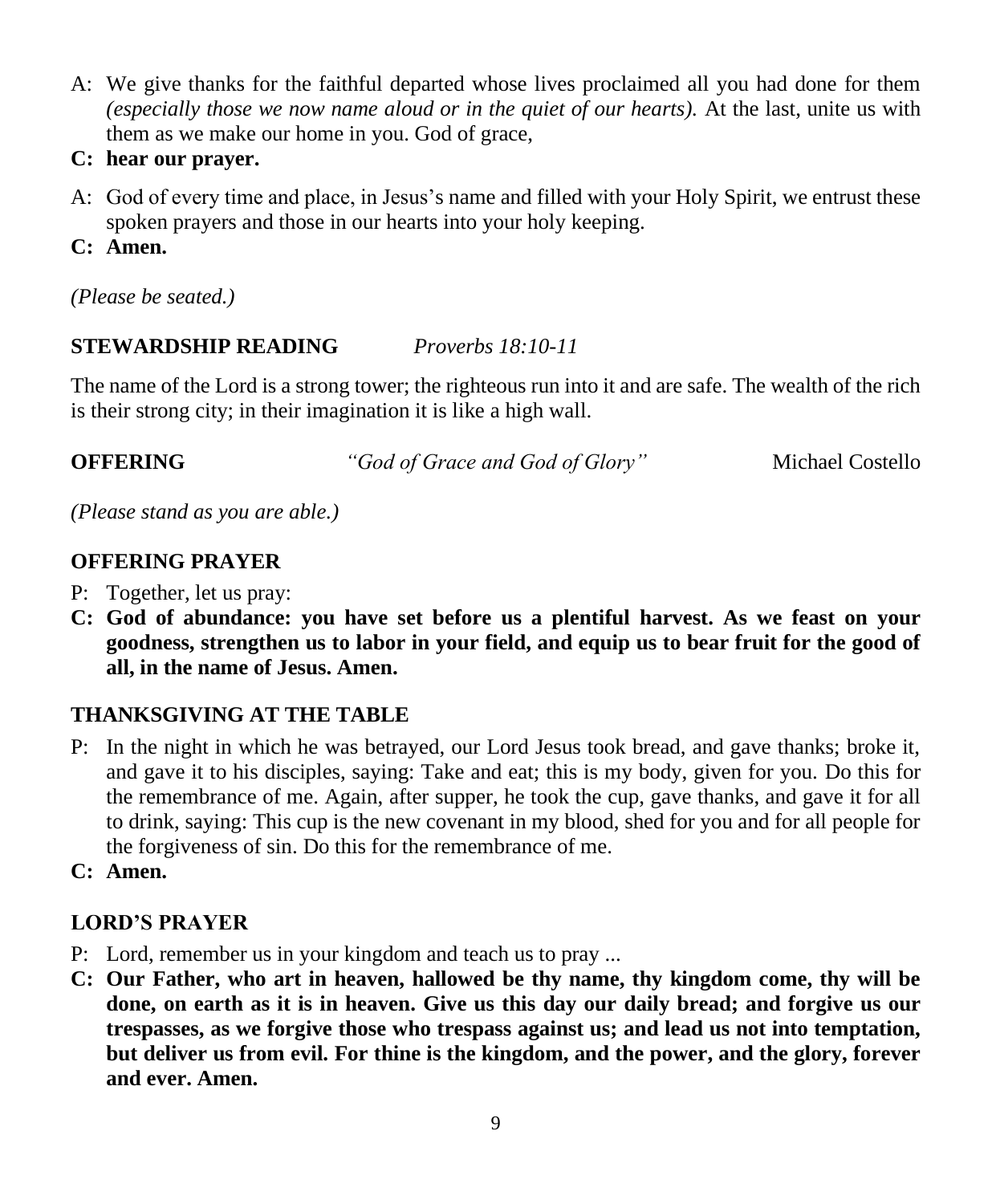- A: We give thanks for the faithful departed whose lives proclaimed all you had done for them *(especially those we now name aloud or in the quiet of our hearts).* At the last, unite us with them as we make our home in you. God of grace,
- **C: hear our prayer.**
- A: God of every time and place, in Jesus's name and filled with your Holy Spirit, we entrust these spoken prayers and those in our hearts into your holy keeping.
- **C: Amen.**
- *(Please be seated.)*

# **STEWARDSHIP READING** *Proverbs 18:10-11*

The name of the Lord is a strong tower; the righteous run into it and are safe. The wealth of the rich is their strong city; in their imagination it is like a high wall.

**OFFERING** *"God of Grace and God of Glory"* Michael Costello

*(Please stand as you are able.)*

# **OFFERING PRAYER**

- P: Together, let us pray:
- **C: God of abundance: you have set before us a plentiful harvest. As we feast on your goodness, strengthen us to labor in your field, and equip us to bear fruit for the good of all, in the name of Jesus. Amen.**

# **THANKSGIVING AT THE TABLE**

- P: In the night in which he was betrayed, our Lord Jesus took bread, and gave thanks; broke it, and gave it to his disciples, saying: Take and eat; this is my body, given for you. Do this for the remembrance of me. Again, after supper, he took the cup, gave thanks, and gave it for all to drink, saying: This cup is the new covenant in my blood, shed for you and for all people for the forgiveness of sin. Do this for the remembrance of me.
- **C: Amen.**

# **LORD'S PRAYER**

- P: Lord, remember us in your kingdom and teach us to pray ...
- **C: Our Father, who art in heaven, hallowed be thy name, thy kingdom come, thy will be done, on earth as it is in heaven. Give us this day our daily bread; and forgive us our trespasses, as we forgive those who trespass against us; and lead us not into temptation, but deliver us from evil. For thine is the kingdom, and the power, and the glory, forever and ever. Amen.**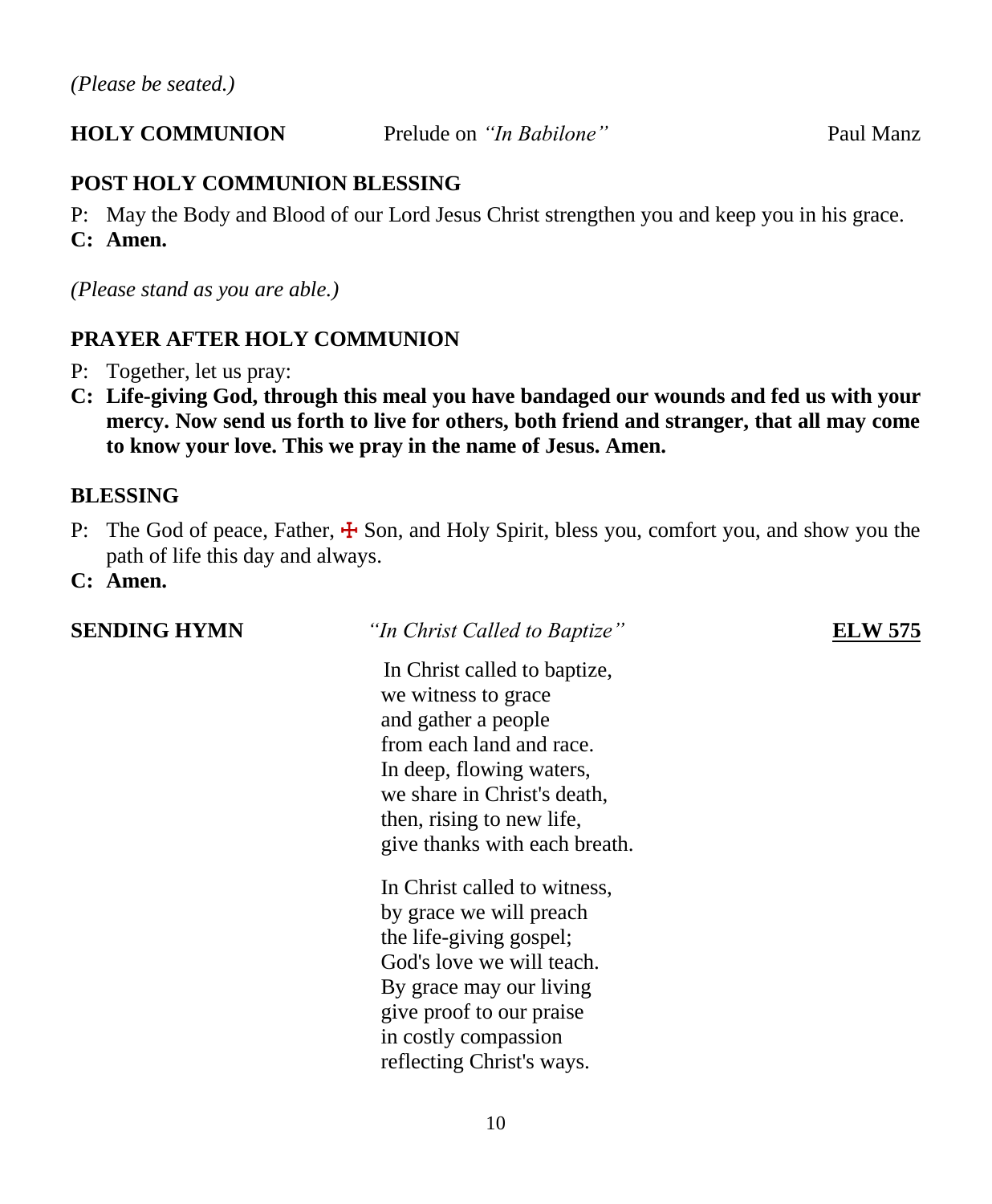# **HOLY COMMUNION** Prelude on *"In Babilone"* Paul Manz

# **POST HOLY COMMUNION BLESSING**

P: May the Body and Blood of our Lord Jesus Christ strengthen you and keep you in his grace.

**C: Amen.**

*(Please stand as you are able.)*

# **PRAYER AFTER HOLY COMMUNION**

- P: Together, let us pray:
- **C: Life-giving God, through this meal you have bandaged our wounds and fed us with your mercy. Now send us forth to live for others, both friend and stranger, that all may come to know your love. This we pray in the name of Jesus. Amen.**

### **BLESSING**

- P: The God of peace, Father,  $\frac{1}{2}$  Son, and Holy Spirit, bless you, comfort you, and show you the path of life this day and always.
- **C: Amen.**

#### **SENDING HYMN** *"In Christ Called to Baptize"* **ELW 575**

 In Christ called to baptize, we witness to grace and gather a people from each land and race. In deep, flowing waters, we share in Christ's death, then, rising to new life, give thanks with each breath.

In Christ called to witness, by grace we will preach the life-giving gospel; God's love we will teach. By grace may our living give proof to our praise in costly compassion reflecting Christ's ways.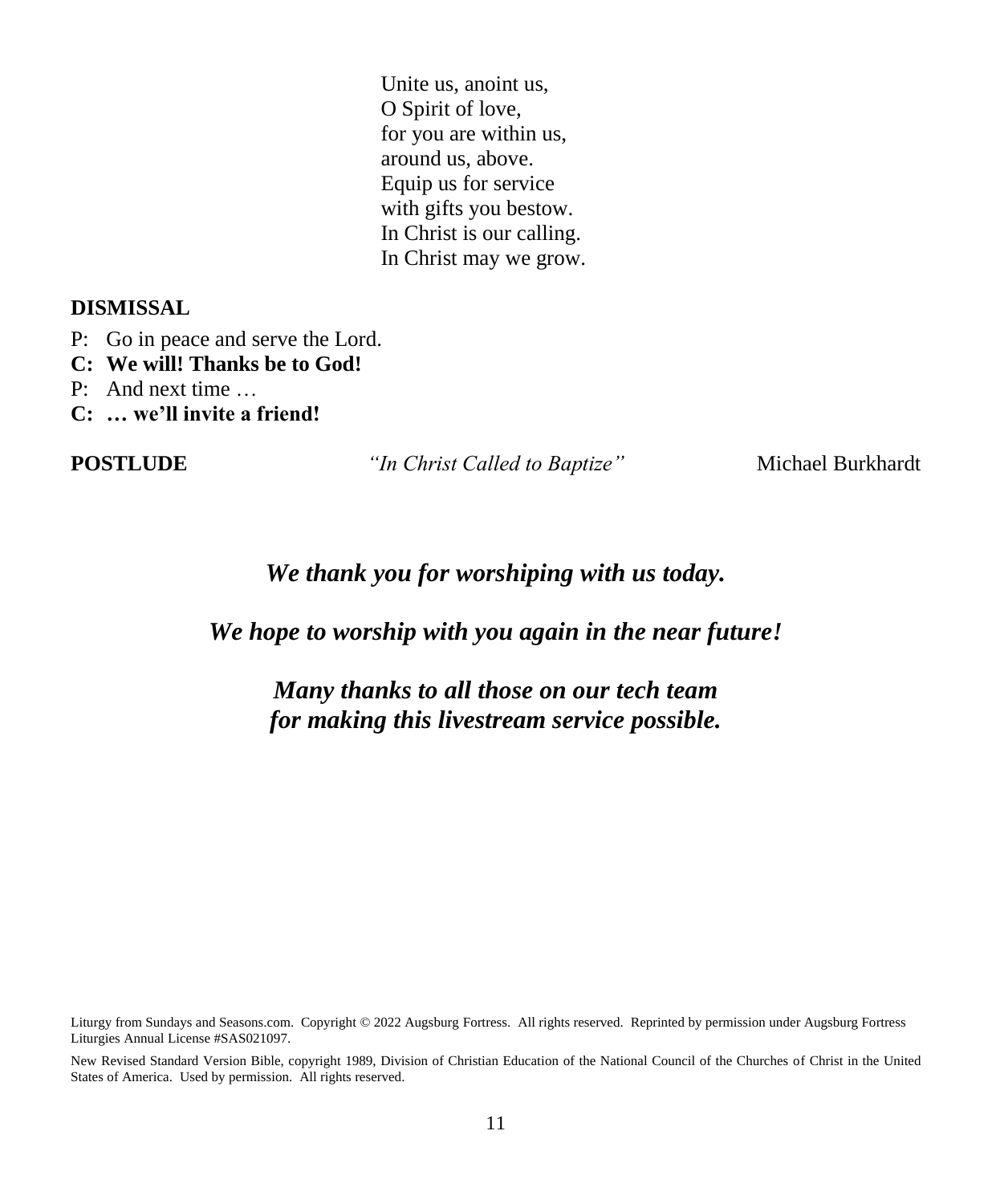Unite us, anoint us, O Spirit of love, for you are within us, around us, above. Equip us for service with gifts you bestow. In Christ is our calling. In Christ may we grow.

#### **DISMISSAL**

- P: Go in peace and serve the Lord.
- **C: We will! Thanks be to God!**
- P: And next time …
- **C: … we'll invite a friend!**

**POSTLUDE** *"In Christ Called to Baptize"* Michael Burkhardt

# *We thank you for worshiping with us today.*

*We hope to worship with you again in the near future!*

# *Many thanks to all those on our tech team for making this livestream service possible.*

Liturgy from Sundays and Seasons.com. Copyright © 2022 Augsburg Fortress. All rights reserved. Reprinted by permission under Augsburg Fortress Liturgies Annual License #SAS021097.

New Revised Standard Version Bible, copyright 1989, Division of Christian Education of the National Council of the Churches of Christ in the United States of America. Used by permission. All rights reserved.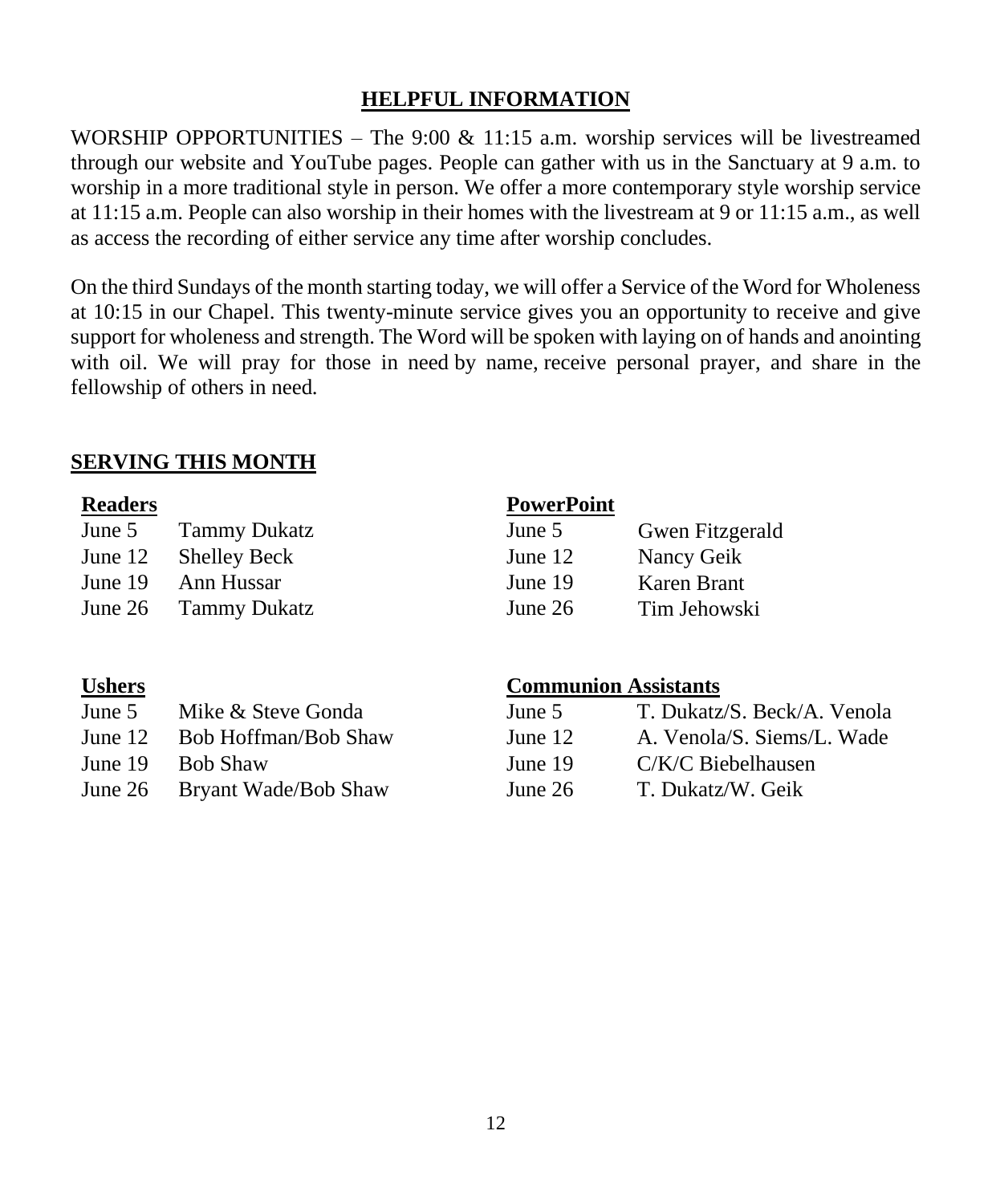# **HELPFUL INFORMATION**

WORSHIP OPPORTUNITIES – The 9:00  $& 11:15$  a.m. worship services will be livestreamed through our website and YouTube pages. People can gather with us in the Sanctuary at 9 a.m. to worship in a more traditional style in person. We offer a more contemporary style worship service at 11:15 a.m. People can also worship in their homes with the livestream at 9 or 11:15 a.m., as well as access the recording of either service any time after worship concludes.

On the third Sundays of the month starting today, we will offer a Service of the Word for Wholeness at 10:15 in our Chapel. This twenty-minute service gives you an opportunity to receive and give support for wholeness and strength. The Word will be spoken with laying on of hands and anointing with oil. We will pray for those in need by name, receive personal prayer, and share in the fellowship of others in need.

### **SERVING THIS MONTH**

| June 5    | <b>Tammy Dukatz</b>  | June 5  | Gwen Fitzg  |
|-----------|----------------------|---------|-------------|
| June $12$ | Shelley Beck         | June 12 | Nancy Geik  |
|           | June 19 Ann Hussar   | June 19 | Karen Brant |
|           | June 26 Tammy Dukatz | June 26 | Tim Jehows  |

#### **Readers PowerPoint**

| June 5  | <b>Tammy Dukatz</b>  | June 5    | Gwen Fitzgerald |
|---------|----------------------|-----------|-----------------|
| June 12 | Shelley Beck         | June $12$ | Nancy Geik      |
| June 19 | Ann Hussar           | June 19   | Karen Brant     |
|         | June 26 Tammy Dukatz | June $26$ | Tim Jehowski    |

| <b>Ushers</b> |                              | <b>Communion Assistants</b> |                             |
|---------------|------------------------------|-----------------------------|-----------------------------|
| June 5        | Mike & Steve Gonda           | June 5                      | T. Dukatz/S. Beck/A. Venola |
|               | June 12 Bob Hoffman/Bob Shaw | June $12$                   | A. Venola/S. Siems/L. Wade  |
| June $19$     | - Bob Shaw                   | June 19                     | C/K/C Biebelhausen          |
|               | June 26 Bryant Wade/Bob Shaw | June $26$                   | T. Dukatz/W. Geik           |